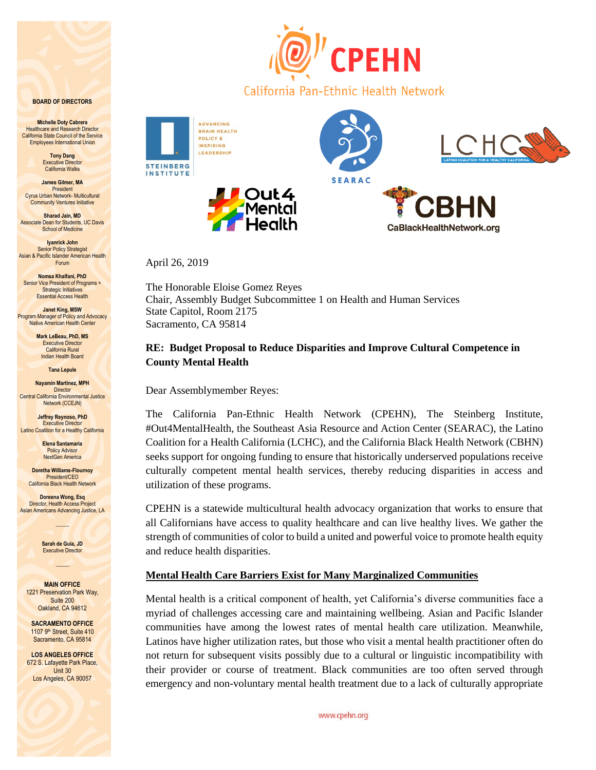#### **BOARD OF DIRECTORS**

**Michelle Doty Cabrera Healthcare and Research Director** California State Council of the Service Employees International Union

> **Tony Dang** Executive Director California Walks

**James Gilmer, MA** President Cyrus Urban Network- Multicultural Community Ventures Initiative

**Sharad Jain, MD** Associate Dean for Students, UC Davis School of Medicine

**Iyanrick John Senior Policy Strategist** Asian & Pacific Islander American Health Forum

**Nomsa Khalfani, PhD** Senior Vice President of Programs + **Strategic Initiatives** Essential Access Health

**Janet King, MSW** Program Manager of Policy and Advocacy Native American Health Center

> **Mark LeBeau, PhD, MS** Executive Director California Rural Indian Health Board

> > **Tana Lepule**

**Nayamin Martinez, MPH Director** Central California Environmental Justice Network (CCEJN)

**Jeffrey Reynoso, PhD** Executive Director **Latino Coalition for a Healthy California** 

> **Elena Santamaria Policy Advisor** NextGen America

**Doretha Williams-Flournoy** President/CEO California Black Health Network

**Doreena Wong, Esq** Director, Health Access Project Asian Americans Advancing Justice, LA

 $\mathcal{L}$ 

**Sarah de Guia, JD** Executive Director  $\overline{\phantom{a}}$ 

**MAIN OFFICE** 1221 Preservation Park Way, Suite 200 Oakland, CA 94612

**SACRAMENTO OFFICE** 1107 9th Street, Suite 410 Sacramento, CA 95814

**LOS ANGELES OFFICE** 672 S. Lafayette Park Place, Unit 30 Los Angeles, CA 90057



**INSTITUTE** 



California Pan-Ethnic Health Network



April 26, 2019

The Honorable Eloise Gomez Reyes Chair, Assembly Budget Subcommittee 1 on Health and Human Services State Capitol, Room 2175 Sacramento, CA 95814

# **RE: Budget Proposal to Reduce Disparities and Improve Cultural Competence in County Mental Health**

Dear Assemblymember Reyes:

The California Pan-Ethnic Health Network (CPEHN), The Steinberg Institute, #Out4MentalHealth, the Southeast Asia Resource and Action Center (SEARAC), the Latino Coalition for a Health California (LCHC), and the California Black Health Network (CBHN) seeks support for ongoing funding to ensure that historically underserved populations receive culturally competent mental health services, thereby reducing disparities in access and utilization of these programs.

CPEHN is a statewide multicultural health advocacy organization that works to ensure that all Californians have access to quality healthcare and can live healthy lives. We gather the strength of communities of color to build a united and powerful voice to promote health equity and reduce health disparities.

## **Mental Health Care Barriers Exist for Many Marginalized Communities**

Mental health is a critical component of health, yet California's diverse communities face a myriad of challenges accessing care and maintaining wellbeing. Asian and Pacific Islander communities have among the lowest rates of mental health care utilization. Meanwhile, Latinos have higher utilization rates, but those who visit a mental health practitioner often do not return for subsequent visits possibly due to a cultural or linguistic incompatibility with their provider or course of treatment. Black communities are too often served through emergency and non-voluntary mental health treatment due to a lack of culturally appropriate

www.cpehn.org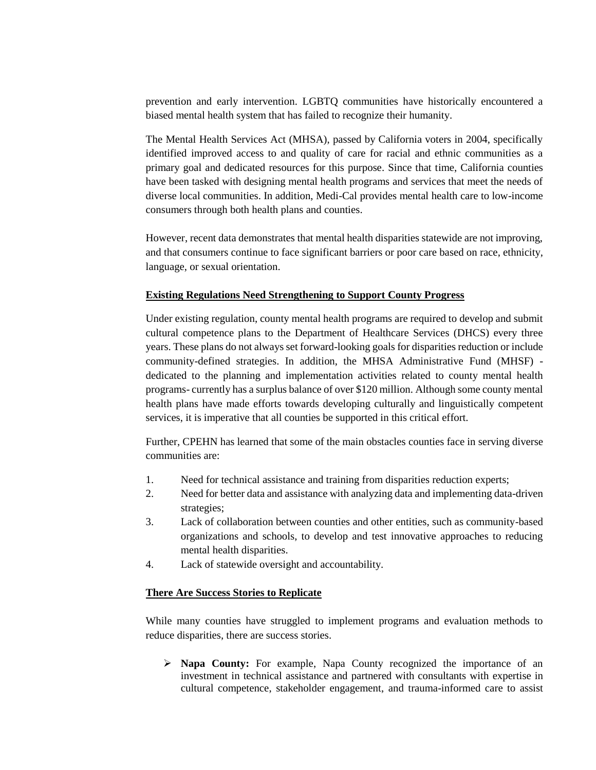prevention and early intervention. LGBTQ communities have historically encountered a biased mental health system that has failed to recognize their humanity.

The Mental Health Services Act (MHSA), passed by California voters in 2004, specifically identified improved access to and quality of care for racial and ethnic communities as a primary goal and dedicated resources for this purpose. Since that time, California counties have been tasked with designing mental health programs and services that meet the needs of diverse local communities. In addition, Medi-Cal provides mental health care to low-income consumers through both health plans and counties.

However, recent data demonstrates that mental health disparities statewide are not improving, and that consumers continue to face significant barriers or poor care based on race, ethnicity, language, or sexual orientation.

## **Existing Regulations Need Strengthening to Support County Progress**

Under existing regulation, county mental health programs are required to develop and submit cultural competence plans to the Department of Healthcare Services (DHCS) every three years. These plans do not always set forward-looking goals for disparities reduction or include community-defined strategies. In addition, the MHSA Administrative Fund (MHSF) dedicated to the planning and implementation activities related to county mental health programs- currently has a surplus balance of over \$120 million. Although some county mental health plans have made efforts towards developing culturally and linguistically competent services, it is imperative that all counties be supported in this critical effort.

Further, CPEHN has learned that some of the main obstacles counties face in serving diverse communities are:

- 1. Need for technical assistance and training from disparities reduction experts;
- 2. Need for better data and assistance with analyzing data and implementing data-driven strategies;
- 3. Lack of collaboration between counties and other entities, such as community-based organizations and schools, to develop and test innovative approaches to reducing mental health disparities.
- 4. Lack of statewide oversight and accountability.

## **There Are Success Stories to Replicate**

While many counties have struggled to implement programs and evaluation methods to reduce disparities, there are success stories.

 **Napa County:** For example, Napa County recognized the importance of an investment in technical assistance and partnered with consultants with expertise in cultural competence, stakeholder engagement, and trauma-informed care to assist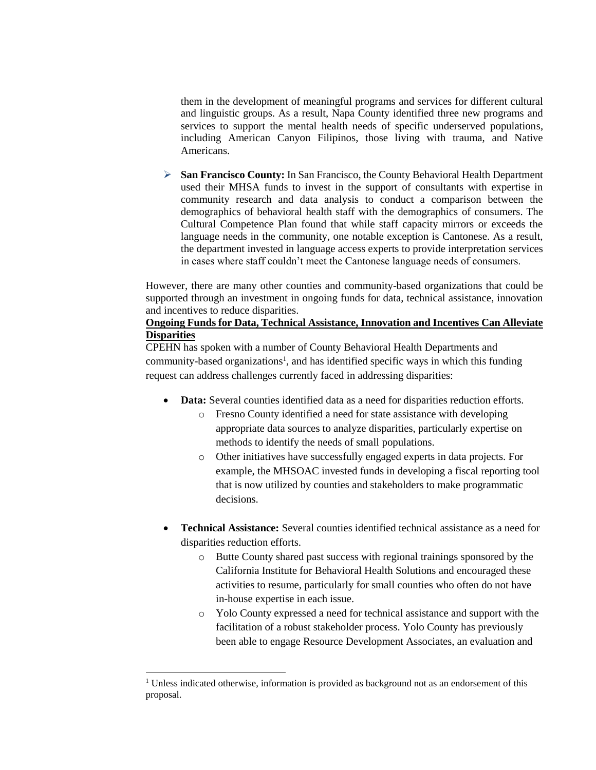them in the development of meaningful programs and services for different cultural and linguistic groups. As a result, Napa County identified three new programs and services to support the mental health needs of specific underserved populations, including American Canyon Filipinos, those living with trauma, and Native Americans.

 **San Francisco County:** In San Francisco, the County Behavioral Health Department used their MHSA funds to invest in the support of consultants with expertise in community research and data analysis to conduct a comparison between the demographics of behavioral health staff with the demographics of consumers. The Cultural Competence Plan found that while staff capacity mirrors or exceeds the language needs in the community, one notable exception is Cantonese. As a result, the department invested in language access experts to provide interpretation services in cases where staff couldn't meet the Cantonese language needs of consumers.

However, there are many other counties and community-based organizations that could be supported through an investment in ongoing funds for data, technical assistance, innovation and incentives to reduce disparities.

## **Ongoing Funds for Data, Technical Assistance, Innovation and Incentives Can Alleviate Disparities**

CPEHN has spoken with a number of County Behavioral Health Departments and community-based organizations<sup>1</sup>, and has identified specific ways in which this funding request can address challenges currently faced in addressing disparities:

- **Data:** Several counties identified data as a need for disparities reduction efforts.
	- o Fresno County identified a need for state assistance with developing appropriate data sources to analyze disparities, particularly expertise on methods to identify the needs of small populations.
	- o Other initiatives have successfully engaged experts in data projects. For example, the MHSOAC invested funds in developing a fiscal reporting tool that is now utilized by counties and stakeholders to make programmatic decisions.
- **Technical Assistance:** Several counties identified technical assistance as a need for disparities reduction efforts.
	- o Butte County shared past success with regional trainings sponsored by the California Institute for Behavioral Health Solutions and encouraged these activities to resume, particularly for small counties who often do not have in-house expertise in each issue.
	- o Yolo County expressed a need for technical assistance and support with the facilitation of a robust stakeholder process. Yolo County has previously been able to engage Resource Development Associates, an evaluation and

 $\overline{a}$ 

 $1$  Unless indicated otherwise, information is provided as background not as an endorsement of this proposal.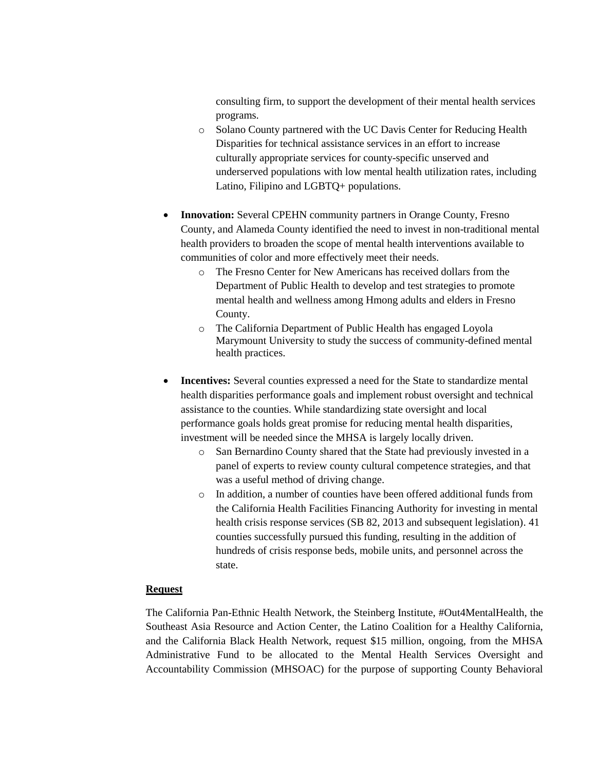consulting firm, to support the development of their mental health services programs.

- o Solano County partnered with the UC Davis Center for Reducing Health Disparities for technical assistance services in an effort to increase culturally appropriate services for county-specific unserved and underserved populations with low mental health utilization rates, including Latino, Filipino and LGBTQ+ populations.
- **Innovation:** Several CPEHN community partners in Orange County, Fresno County, and Alameda County identified the need to invest in non-traditional mental health providers to broaden the scope of mental health interventions available to communities of color and more effectively meet their needs.
	- o The Fresno Center for New Americans has received dollars from the Department of Public Health to develop and test strategies to promote mental health and wellness among Hmong adults and elders in Fresno County.
	- o The California Department of Public Health has engaged Loyola Marymount University to study the success of community-defined mental health practices.
- **Incentives:** Several counties expressed a need for the State to standardize mental health disparities performance goals and implement robust oversight and technical assistance to the counties. While standardizing state oversight and local performance goals holds great promise for reducing mental health disparities, investment will be needed since the MHSA is largely locally driven.
	- o San Bernardino County shared that the State had previously invested in a panel of experts to review county cultural competence strategies, and that was a useful method of driving change.
	- o In addition, a number of counties have been offered additional funds from the California Health Facilities Financing Authority for investing in mental health crisis response services (SB 82, 2013 and subsequent legislation). 41 counties successfully pursued this funding, resulting in the addition of hundreds of crisis response beds, mobile units, and personnel across the state.

## **Request**

The California Pan-Ethnic Health Network, the Steinberg Institute, #Out4MentalHealth, the Southeast Asia Resource and Action Center, the Latino Coalition for a Healthy California, and the California Black Health Network, request \$15 million, ongoing, from the MHSA Administrative Fund to be allocated to the Mental Health Services Oversight and Accountability Commission (MHSOAC) for the purpose of supporting County Behavioral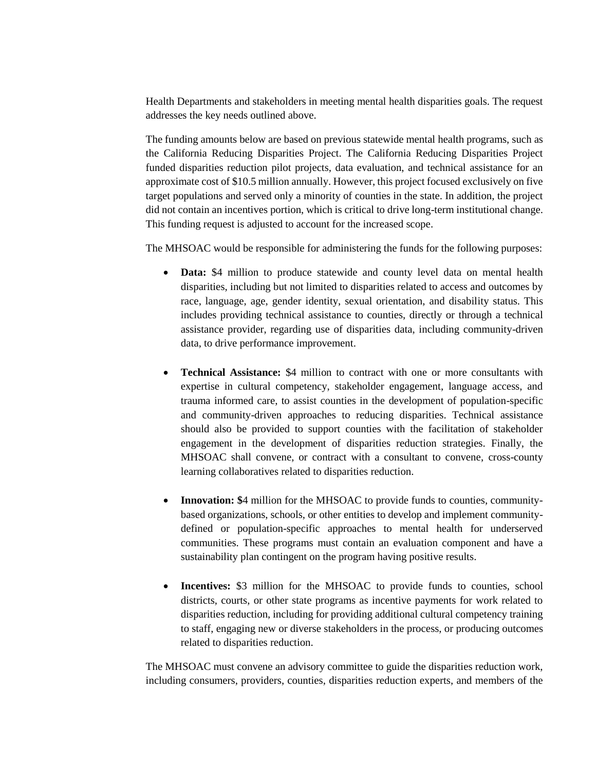Health Departments and stakeholders in meeting mental health disparities goals. The request addresses the key needs outlined above.

The funding amounts below are based on previous statewide mental health programs, such as the California Reducing Disparities Project. The California Reducing Disparities Project funded disparities reduction pilot projects, data evaluation, and technical assistance for an approximate cost of \$10.5 million annually. However, this project focused exclusively on five target populations and served only a minority of counties in the state. In addition, the project did not contain an incentives portion, which is critical to drive long-term institutional change. This funding request is adjusted to account for the increased scope.

The MHSOAC would be responsible for administering the funds for the following purposes:

- **Data:** \$4 million to produce statewide and county level data on mental health disparities, including but not limited to disparities related to access and outcomes by race, language, age, gender identity, sexual orientation, and disability status. This includes providing technical assistance to counties, directly or through a technical assistance provider, regarding use of disparities data, including community-driven data, to drive performance improvement.
- **Technical Assistance:** \$4 million to contract with one or more consultants with expertise in cultural competency, stakeholder engagement, language access, and trauma informed care, to assist counties in the development of population-specific and community-driven approaches to reducing disparities. Technical assistance should also be provided to support counties with the facilitation of stakeholder engagement in the development of disparities reduction strategies. Finally, the MHSOAC shall convene, or contract with a consultant to convene, cross-county learning collaboratives related to disparities reduction.
- **Innovation: \$**4 million for the MHSOAC to provide funds to counties, communitybased organizations, schools, or other entities to develop and implement communitydefined or population-specific approaches to mental health for underserved communities. These programs must contain an evaluation component and have a sustainability plan contingent on the program having positive results.
- **Incentives:** \$3 million for the MHSOAC to provide funds to counties, school districts, courts, or other state programs as incentive payments for work related to disparities reduction, including for providing additional cultural competency training to staff, engaging new or diverse stakeholders in the process, or producing outcomes related to disparities reduction.

The MHSOAC must convene an advisory committee to guide the disparities reduction work, including consumers, providers, counties, disparities reduction experts, and members of the